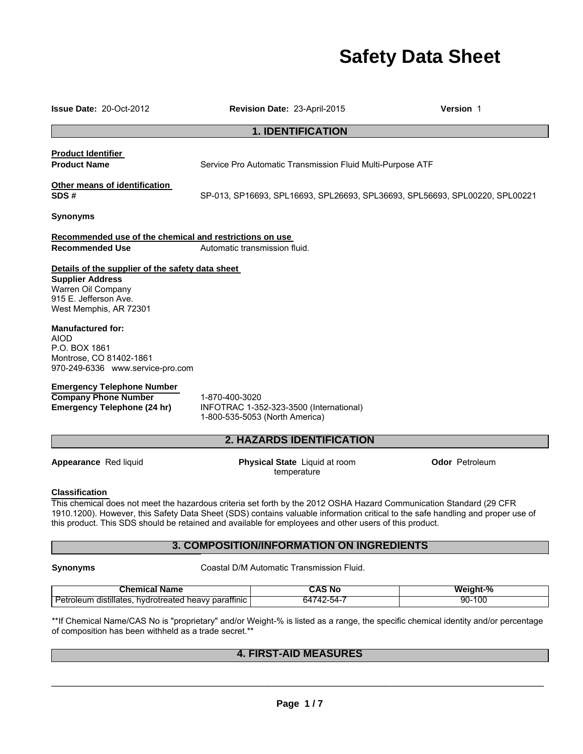# **Safety Data Sheet**

**Issue Date:** 20-Oct-2012 **Revision Date:** 23-April-2015 **Version** 1

# **1. IDENTIFICATION**

**Product Identifier** 

**Product Name** Service Pro Automatic Transmission Fluid Multi-Purpose ATF

# **Other means of identification**

**SDS #** SP-013, SP16693, SPL16693, SPL26693, SPL36693, SPL56693, SPL00220, SPL00221

**Synonyms** 

#### **Recommended use of the chemical and restrictions on use Recommended Use** <br>Automatic transmission fluid.

#### **Details of the supplier of the safety data sheet**

**Supplier Address**  Warren Oil Company 915 E. Jefferson Ave. West Memphis, AR 72301

**Manufactured for:**  AIOD P.O. BOX 1861 Montrose, CO 81402-1861 970-249-6336 www.service-pro.com

#### **Emergency Telephone Number**

**Company Phone Number 1-870-400-3020<br>
<b>Emergency Telephone (24 hr)** INFOTRAC 1-35

**Emergency Telephone (24 hr)** INFOTRAC 1-352-323-3500 (International) 1-800-535-5053 (North America)

# **2. HAZARDS IDENTIFICATION**

**Appearance** Red liquid **Physical State** Liquid at room temperature

**Odor** Petroleum

#### **Classification**

This chemical does not meet the hazardous criteria set forth by the 2012 OSHA Hazard Communication Standard (29 CFR 1910.1200). However, this Safety Data Sheet (SDS) contains valuable information critical to the safe handling and proper use of this product. This SDS should be retained and available for employees and other users of this product.

## **3. COMPOSITION/INFORMATION ON INGREDIENTS**

**Synonyms Coastal D/M Automatic Transmission Fluid.** 

| <b>Chemical Name</b>                                               | CAS No     | Weight-%   |
|--------------------------------------------------------------------|------------|------------|
| Petroleum distillates, hydrotreated heavy paraffinic $\frac{1}{2}$ | 64742-54-. | 10C<br>90- |

\*\*If Chemical Name/CAS No is "proprietary" and/or Weight-% is listed as a range, the specific chemical identity and/or percentage of composition has been withheld as a trade secret.\*\*

# **4. FIRST-AID MEASURES**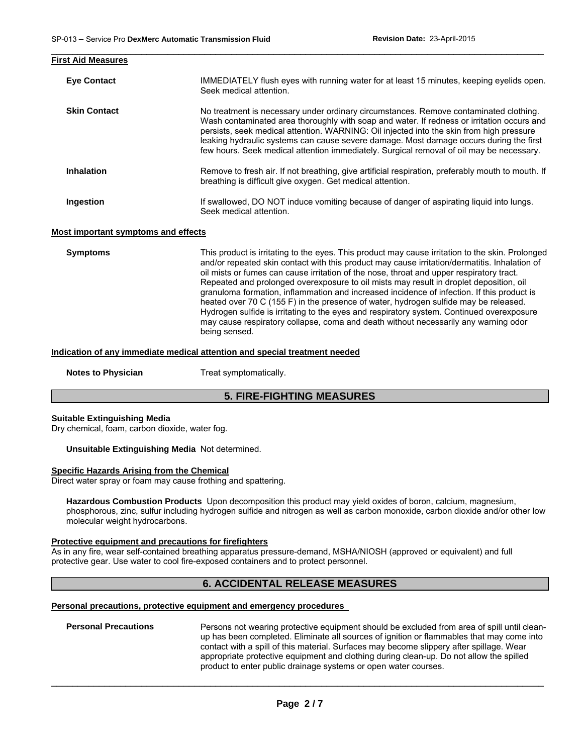| <b>First Aid Measures</b> |                                                                                                                                                                                                                                                                                                                                                                                                                                                                       |
|---------------------------|-----------------------------------------------------------------------------------------------------------------------------------------------------------------------------------------------------------------------------------------------------------------------------------------------------------------------------------------------------------------------------------------------------------------------------------------------------------------------|
| <b>Eye Contact</b>        | IMMEDIATELY flush eyes with running water for at least 15 minutes, keeping eyelids open.<br>Seek medical attention.                                                                                                                                                                                                                                                                                                                                                   |
| <b>Skin Contact</b>       | No treatment is necessary under ordinary circumstances. Remove contaminated clothing.<br>Wash contaminated area thoroughly with soap and water. If redness or irritation occurs and<br>persists, seek medical attention. WARNING: Oil injected into the skin from high pressure<br>leaking hydraulic systems can cause severe damage. Most damage occurs during the first<br>few hours. Seek medical attention immediately. Surgical removal of oil may be necessary. |
| <b>Inhalation</b>         | Remove to fresh air. If not breathing, give artificial respiration, preferably mouth to mouth. If<br>breathing is difficult give oxygen. Get medical attention.                                                                                                                                                                                                                                                                                                       |
| Ingestion                 | If swallowed, DO NOT induce vomiting because of danger of aspirating liquid into lungs.<br>Seek medical attention.                                                                                                                                                                                                                                                                                                                                                    |

\_\_\_\_\_\_\_\_\_\_\_\_\_\_\_\_\_\_\_\_\_\_\_\_\_\_\_\_\_\_\_\_\_\_\_\_\_\_\_\_\_\_\_\_\_\_\_\_\_\_\_\_\_\_\_\_\_\_\_\_\_\_\_\_\_\_\_\_\_\_\_\_\_\_\_\_\_\_\_\_\_\_\_\_\_\_\_\_\_\_\_\_\_

#### **Most important symptoms and effects**

**Symptoms** This product is irritating to the eyes. This product may cause irritation to the skin. Prolonged and/or repeated skin contact with this product may cause irritation/dermatitis. Inhalation of oil mists or fumes can cause irritation of the nose, throat and upper respiratory tract. Repeated and prolonged overexposure to oil mists may result in droplet deposition, oil granuloma formation, inflammation and increased incidence of infection. If this product is heated over 70 C (155 F) in the presence of water, hydrogen sulfide may be released. Hydrogen sulfide is irritating to the eyes and respiratory system. Continued overexposure may cause respiratory collapse, coma and death without necessarily any warning odor being sensed.

#### **Indication of any immediate medical attention and special treatment needed**

**Notes to Physician**  Treat symptomatically.

# **5. FIRE-FIGHTING MEASURES**

#### **Suitable Extinguishing Media**

Dry chemical, foam, carbon dioxide, water fog.

#### **Unsuitable Extinguishing Media** Not determined.

#### **Specific Hazards Arising from the Chemical**

Direct water spray or foam may cause frothing and spattering.

**Hazardous Combustion Products** Upon decomposition this product may yield oxides of boron, calcium, magnesium, phosphorous, zinc, sulfur including hydrogen sulfide and nitrogen as well as carbon monoxide, carbon dioxide and/or other low molecular weight hydrocarbons.

#### **Protective equipment and precautions for firefighters**

As in any fire, wear self-contained breathing apparatus pressure-demand, MSHA/NIOSH (approved or equivalent) and full protective gear. Use water to cool fire-exposed containers and to protect personnel.

# **6. ACCIDENTAL RELEASE MEASURES**

#### **Personal precautions, protective equipment and emergency procedures**

**Personal Precautions** Persons not wearing protective equipment should be excluded from area of spill until cleanup has been completed. Eliminate all sources of ignition or flammables that may come into contact with a spill of this material. Surfaces may become slippery after spillage. Wear appropriate protective equipment and clothing during clean-up. Do not allow the spilled product to enter public drainage systems or open water courses.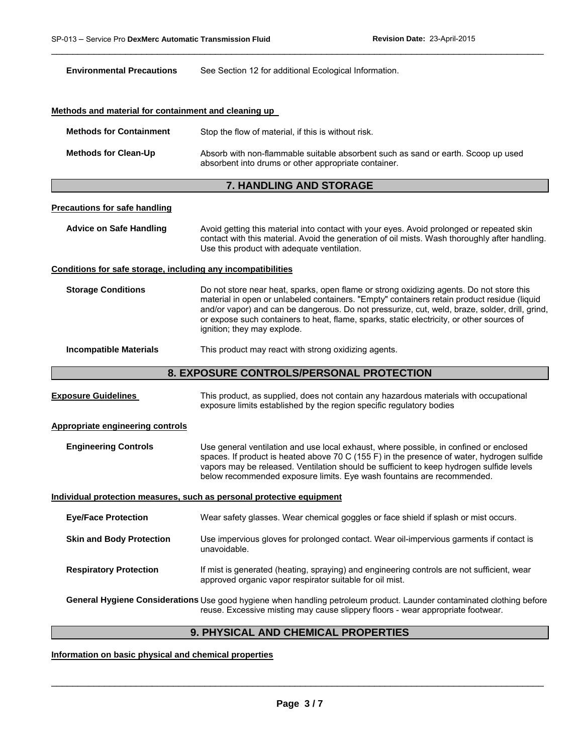| <b>Environmental Precautions</b>                                      | See Section 12 for additional Ecological Information.                                                                                                                                                                                                                                                                                                                                                                 |  |  |  |
|-----------------------------------------------------------------------|-----------------------------------------------------------------------------------------------------------------------------------------------------------------------------------------------------------------------------------------------------------------------------------------------------------------------------------------------------------------------------------------------------------------------|--|--|--|
|                                                                       |                                                                                                                                                                                                                                                                                                                                                                                                                       |  |  |  |
| Methods and material for containment and cleaning up                  |                                                                                                                                                                                                                                                                                                                                                                                                                       |  |  |  |
| <b>Methods for Containment</b>                                        | Stop the flow of material, if this is without risk.                                                                                                                                                                                                                                                                                                                                                                   |  |  |  |
| <b>Methods for Clean-Up</b>                                           | Absorb with non-flammable suitable absorbent such as sand or earth. Scoop up used<br>absorbent into drums or other appropriate container.                                                                                                                                                                                                                                                                             |  |  |  |
|                                                                       | <b>7. HANDLING AND STORAGE</b>                                                                                                                                                                                                                                                                                                                                                                                        |  |  |  |
| <b>Precautions for safe handling</b>                                  |                                                                                                                                                                                                                                                                                                                                                                                                                       |  |  |  |
| <b>Advice on Safe Handling</b>                                        | Avoid getting this material into contact with your eyes. Avoid prolonged or repeated skin<br>contact with this material. Avoid the generation of oil mists. Wash thoroughly after handling.<br>Use this product with adequate ventilation.                                                                                                                                                                            |  |  |  |
| Conditions for safe storage, including any incompatibilities          |                                                                                                                                                                                                                                                                                                                                                                                                                       |  |  |  |
| <b>Storage Conditions</b>                                             | Do not store near heat, sparks, open flame or strong oxidizing agents. Do not store this<br>material in open or unlabeled containers. "Empty" containers retain product residue (liquid<br>and/or vapor) and can be dangerous. Do not pressurize, cut, weld, braze, solder, drill, grind,<br>or expose such containers to heat, flame, sparks, static electricity, or other sources of<br>ignition; they may explode. |  |  |  |
| <b>Incompatible Materials</b>                                         | This product may react with strong oxidizing agents.                                                                                                                                                                                                                                                                                                                                                                  |  |  |  |
|                                                                       | 8. EXPOSURE CONTROLS/PERSONAL PROTECTION                                                                                                                                                                                                                                                                                                                                                                              |  |  |  |
| <b>Exposure Guidelines</b>                                            | This product, as supplied, does not contain any hazardous materials with occupational<br>exposure limits established by the region specific regulatory bodies                                                                                                                                                                                                                                                         |  |  |  |
| <b>Appropriate engineering controls</b>                               |                                                                                                                                                                                                                                                                                                                                                                                                                       |  |  |  |
| <b>Engineering Controls</b>                                           | Use general ventilation and use local exhaust, where possible, in confined or enclosed<br>spaces. If product is heated above 70 C (155 F) in the presence of water, hydrogen sulfide<br>vapors may be released. Ventilation should be sufficient to keep hydrogen sulfide levels<br>below recommended exposure limits. Eye wash fountains are recommended.                                                            |  |  |  |
| Individual protection measures, such as personal protective equipment |                                                                                                                                                                                                                                                                                                                                                                                                                       |  |  |  |
| <b>Eye/Face Protection</b>                                            | Wear safety glasses. Wear chemical goggles or face shield if splash or mist occurs.                                                                                                                                                                                                                                                                                                                                   |  |  |  |
| <b>Skin and Body Protection</b>                                       | Use impervious gloves for prolonged contact. Wear oil-impervious garments if contact is<br>unavoidable.                                                                                                                                                                                                                                                                                                               |  |  |  |
| <b>Respiratory Protection</b>                                         | If mist is generated (heating, spraying) and engineering controls are not sufficient, wear<br>approved organic vapor respirator suitable for oil mist.                                                                                                                                                                                                                                                                |  |  |  |
|                                                                       | General Hygiene Considerations Use good hygiene when handling petroleum product. Launder contaminated clothing before<br>reuse. Excessive misting may cause slippery floors - wear appropriate footwear.                                                                                                                                                                                                              |  |  |  |

\_\_\_\_\_\_\_\_\_\_\_\_\_\_\_\_\_\_\_\_\_\_\_\_\_\_\_\_\_\_\_\_\_\_\_\_\_\_\_\_\_\_\_\_\_\_\_\_\_\_\_\_\_\_\_\_\_\_\_\_\_\_\_\_\_\_\_\_\_\_\_\_\_\_\_\_\_\_\_\_\_\_\_\_\_\_\_\_\_\_\_\_\_

# **9. PHYSICAL AND CHEMICAL PROPERTIES**

**Information on basic physical and chemical properties**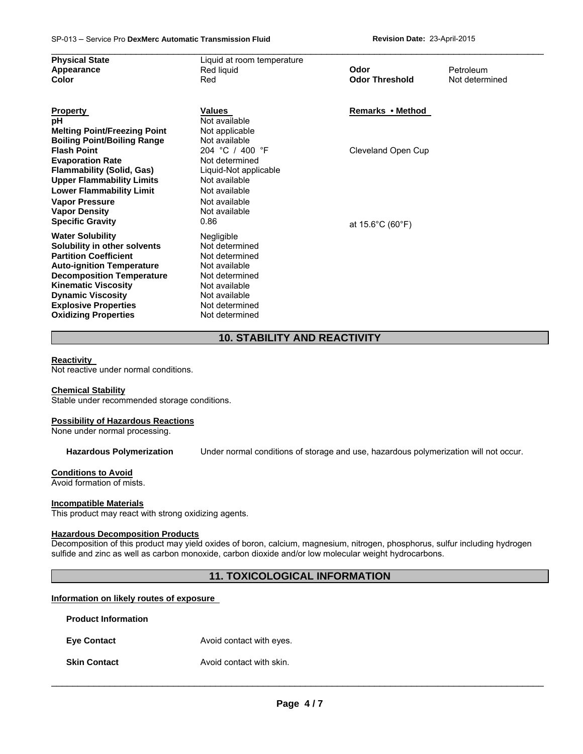| <b>Physical State</b>               | Liquid at room temperature |                                       |                |
|-------------------------------------|----------------------------|---------------------------------------|----------------|
| Appearance                          | Red liquid                 | Odor                                  | Petroleum      |
| Color                               | Red                        | <b>Odor Threshold</b>                 | Not determined |
|                                     |                            |                                       |                |
| <b>Property</b>                     | <b>Values</b>              | Remarks • Method                      |                |
| рH                                  | Not available              |                                       |                |
| <b>Melting Point/Freezing Point</b> | Not applicable             |                                       |                |
| <b>Boiling Point/Boiling Range</b>  | Not available              |                                       |                |
| <b>Flash Point</b>                  | 204 °C / 400 °F            | Cleveland Open Cup                    |                |
| <b>Evaporation Rate</b>             | Not determined             |                                       |                |
| <b>Flammability (Solid, Gas)</b>    | Liquid-Not applicable      |                                       |                |
| <b>Upper Flammability Limits</b>    | Not available              |                                       |                |
| <b>Lower Flammability Limit</b>     | Not available              |                                       |                |
| <b>Vapor Pressure</b>               | Not available              |                                       |                |
| <b>Vapor Density</b>                | Not available              |                                       |                |
| <b>Specific Gravity</b>             | 0.86                       | at $15.6^{\circ}$ C (60 $^{\circ}$ F) |                |
| <b>Water Solubility</b>             | Negligible                 |                                       |                |
| Solubility in other solvents        | Not determined             |                                       |                |
| <b>Partition Coefficient</b>        | Not determined             |                                       |                |
| <b>Auto-ignition Temperature</b>    | Not available              |                                       |                |
| <b>Decomposition Temperature</b>    | Not determined             |                                       |                |
| <b>Kinematic Viscosity</b>          | Not available              |                                       |                |
| <b>Dynamic Viscosity</b>            | Not available              |                                       |                |
| <b>Explosive Properties</b>         | Not determined             |                                       |                |
| <b>Oxidizing Properties</b>         | Not determined             |                                       |                |

# **10. STABILITY AND REACTIVITY**

#### **Reactivity**

Not reactive under normal conditions.

#### **Chemical Stability**

Stable under recommended storage conditions.

#### **Possibility of Hazardous Reactions**

None under normal processing.

**Hazardous Polymerization** Under normal conditions of storage and use, hazardous polymerization will not occur.

### **Conditions to Avoid**

Avoid formation of mists.

#### **Incompatible Materials**

This product may react with strong oxidizing agents.

#### **Hazardous Decomposition Products**

Decomposition of this product may yield oxides of boron, calcium, magnesium, nitrogen, phosphorus, sulfur including hydrogen sulfide and zinc as well as carbon monoxide, carbon dioxide and/or low molecular weight hydrocarbons.

# **11. TOXICOLOGICAL INFORMATION**

#### **Information on likely routes of exposure**

**Product Information Eye Contact Avoid contact with eyes. Skin Contact Avoid contact with skin.**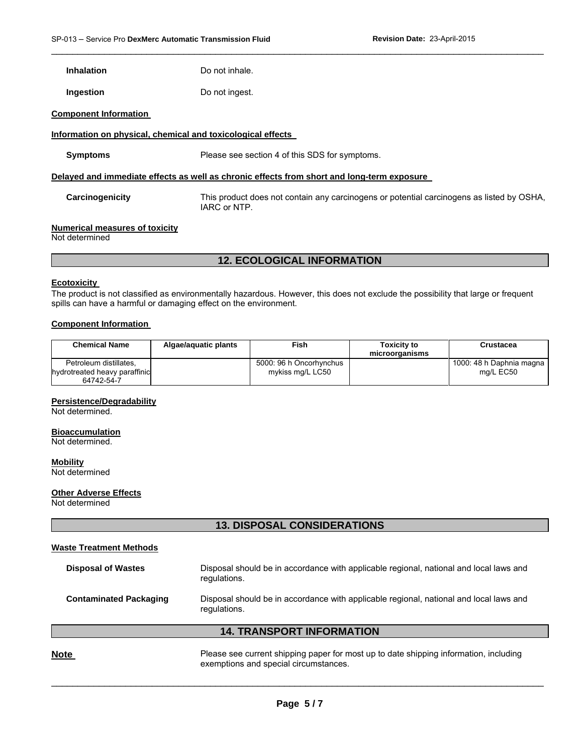**Inhalation Do not inhale.** 

**Ingestion Do not ingest.** 

#### **Component Information**

#### **Information on physical, chemical and toxicological effects**

**Symptoms** Please see section 4 of this SDS for symptoms.

#### **Delayed and immediate effects as well as chronic effects from short and long-term exposure**

**Carcinogenicity** This product does not contain any carcinogens or potential carcinogens as listed by OSHA, IARC or NTP.

\_\_\_\_\_\_\_\_\_\_\_\_\_\_\_\_\_\_\_\_\_\_\_\_\_\_\_\_\_\_\_\_\_\_\_\_\_\_\_\_\_\_\_\_\_\_\_\_\_\_\_\_\_\_\_\_\_\_\_\_\_\_\_\_\_\_\_\_\_\_\_\_\_\_\_\_\_\_\_\_\_\_\_\_\_\_\_\_\_\_\_\_\_

#### **Numerical measures of toxicity**

Not determined

## **12. ECOLOGICAL INFORMATION**

#### **Ecotoxicity**

The product is not classified as environmentally hazardous. However, this does not exclude the possibility that large or frequent spills can have a harmful or damaging effect on the environment.

#### **Component Information**

| <b>Chemical Name</b>          | Algae/aguatic plants | Fish                    | Toxicitv to<br>microorganisms | Crustacea                |
|-------------------------------|----------------------|-------------------------|-------------------------------|--------------------------|
| Petroleum distillates.        |                      | 5000: 96 h Oncorhynchus |                               | 1000: 48 h Daphnia magna |
| hydrotreated heavy paraffinic |                      | mykiss mg/L LC50        |                               | ma/L EC50                |
| 64742-54-7                    |                      |                         |                               |                          |

### **Persistence/Degradability**

Not determined.

#### **Bioaccumulation**

Not determined.

**Mobility** Not determined

#### **Other Adverse Effects**

Not determined

# **13. DISPOSAL CONSIDERATIONS**

#### **Waste Treatment Methods**

| <b>Disposal of Wastes</b>     | Disposal should be in accordance with applicable regional, national and local laws and<br>regulations. |
|-------------------------------|--------------------------------------------------------------------------------------------------------|
| <b>Contaminated Packaging</b> | Disposal should be in accordance with applicable regional, national and local laws and<br>regulations. |
|                               | <b>14. TRANSPORT INFORMATION</b>                                                                       |
| nte                           | Please see current shipping paper for most up to date shipping information, including                  |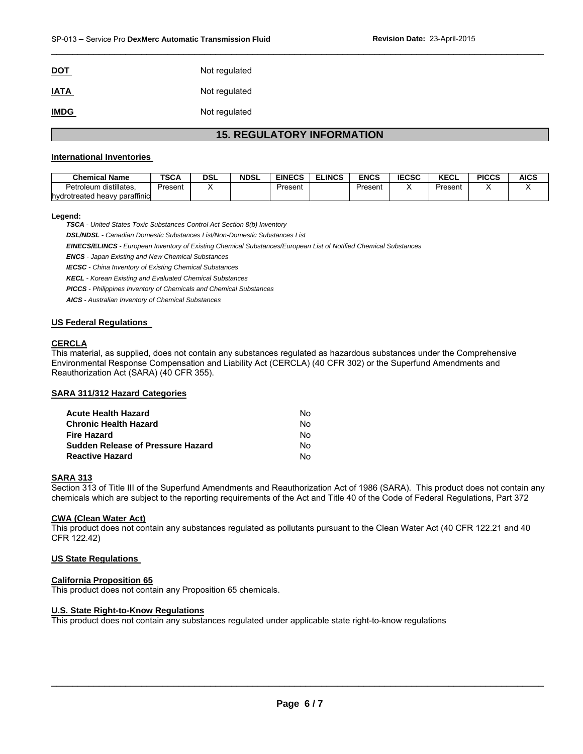**IATA** Not regulated

**IMDG** Not regulated

# **15. REGULATORY INFORMATION**

\_\_\_\_\_\_\_\_\_\_\_\_\_\_\_\_\_\_\_\_\_\_\_\_\_\_\_\_\_\_\_\_\_\_\_\_\_\_\_\_\_\_\_\_\_\_\_\_\_\_\_\_\_\_\_\_\_\_\_\_\_\_\_\_\_\_\_\_\_\_\_\_\_\_\_\_\_\_\_\_\_\_\_\_\_\_\_\_\_\_\_\_\_

#### **International Inventories**

| <b>Chemical Name</b>          | TSCA    | DSL | <b>NDSL</b> | <b>EINECS</b> | <b>ELINCS</b> | <b>ENCS</b> | <b>IECSC</b> | <b>KECL</b> | <b>PICCS</b> | <b>AICS</b> |
|-------------------------------|---------|-----|-------------|---------------|---------------|-------------|--------------|-------------|--------------|-------------|
| Petroleum distillates.        | Present |     |             | Present       |               | Present     |              | Present     |              |             |
| hydrotreated heavy paraffinic |         |     |             |               |               |             |              |             |              |             |

#### **Legend:**

*TSCA - United States Toxic Substances Control Act Section 8(b) Inventory* 

*DSL/NDSL - Canadian Domestic Substances List/Non-Domestic Substances List* 

*EINECS/ELINCS - European Inventory of Existing Chemical Substances/European List of Notified Chemical Substances* 

*ENCS - Japan Existing and New Chemical Substances* 

*IECSC - China Inventory of Existing Chemical Substances* 

*KECL - Korean Existing and Evaluated Chemical Substances* 

*PICCS - Philippines Inventory of Chemicals and Chemical Substances* 

*AICS - Australian Inventory of Chemical Substances* 

#### **US Federal Regulations**

#### **CERCLA**

This material, as supplied, does not contain any substances regulated as hazardous substances under the Comprehensive Environmental Response Compensation and Liability Act (CERCLA) (40 CFR 302) or the Superfund Amendments and Reauthorization Act (SARA) (40 CFR 355).

#### **SARA 311/312 Hazard Categories**

| Acute Health Hazard               | N٥ |
|-----------------------------------|----|
| Chronic Health Hazard             | N٥ |
| Fire Hazard                       | N٥ |
| Sudden Release of Pressure Hazard | N٥ |
| Reactive Hazard                   | N٥ |

#### **SARA 313**

Section 313 of Title III of the Superfund Amendments and Reauthorization Act of 1986 (SARA). This product does not contain any chemicals which are subject to the reporting requirements of the Act and Title 40 of the Code of Federal Regulations, Part 372

#### **CWA (Clean Water Act)**

This product does not contain any substances regulated as pollutants pursuant to the Clean Water Act (40 CFR 122.21 and 40 CFR 122.42)

#### **US State Regulations**

#### **California Proposition 65**

This product does not contain any Proposition 65 chemicals.

#### **U.S. State Right-to-Know Regulations**

This product does not contain any substances regulated under applicable state right-to-know regulations